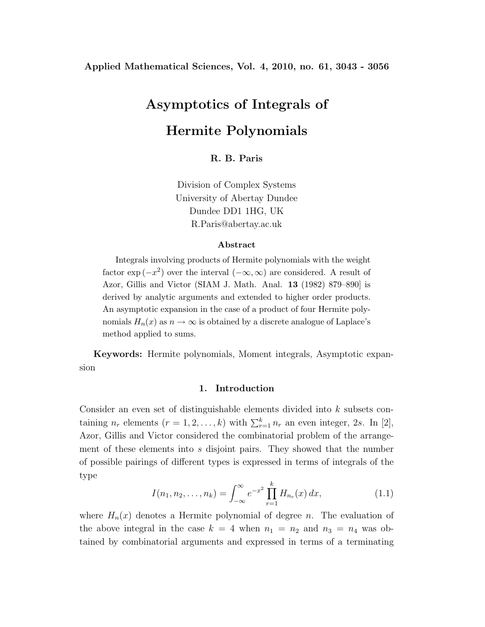#### **Applied Mathematical Sciences, Vol. 4, 2010, no. 61, 3043 - 3056**

# **Asymptotics of Integrals of Hermite Polynomials**

**R. B. Paris**

Division of Complex Systems University of Abertay Dundee Dundee DD1 1HG, UK R.Paris@abertay.ac.uk

#### **Abstract**

Integrals involving products of Hermite polynomials with the weight factor  $\exp(-x^2)$  over the interval  $(-\infty,\infty)$  are considered. A result of Azor, Gillis and Victor (SIAM J. Math. Anal. **13** (1982) 879–890] is derived by analytic arguments and extended to higher order products. An asymptotic expansion in the case of a product of four Hermite polynomials  $H_n(x)$  as  $n \to \infty$  is obtained by a discrete analogue of Laplace's method applied to sums.

**Keywords:** Hermite polynomials, Moment integrals, Asymptotic expansion

#### **1. Introduction**

Consider an even set of distinguishable elements divided into k subsets containing  $n_r$  elements  $(r = 1, 2, ..., k)$  with  $\sum_{r=1}^{k} n_r$  an even integer, 2s. In [2], Azor, Gillis and Victor considered the combinatorial problem of the arrangement of these elements into s disjoint pairs. They showed that the number of possible pairings of different types is expressed in terms of integrals of the type

$$
I(n_1, n_2, \dots, n_k) = \int_{-\infty}^{\infty} e^{-x^2} \prod_{r=1}^{k} H_{n_r}(x) dx,
$$
 (1.1)

where  $H_n(x)$  denotes a Hermite polynomial of degree n. The evaluation of the above integral in the case  $k = 4$  when  $n_1 = n_2$  and  $n_3 = n_4$  was obtained by combinatorial arguments and expressed in terms of a terminating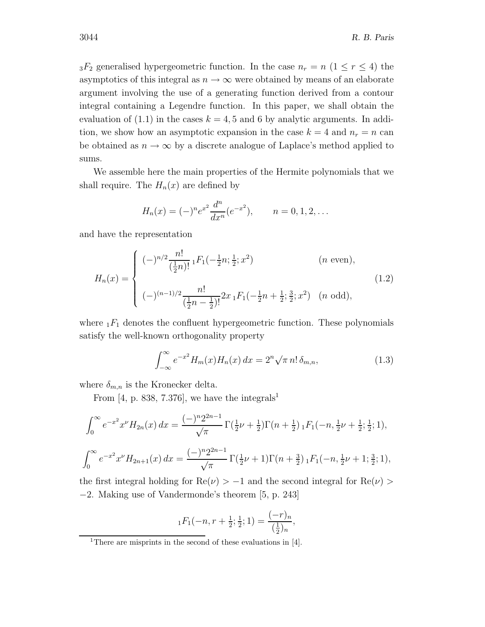$3F_2$  generalised hypergeometric function. In the case  $n_r = n$   $(1 \le r \le 4)$  the asymptotics of this integral as  $n \to \infty$  were obtained by means of an elaborate argument involving the use of a generating function derived from a contour integral containing a Legendre function. In this paper, we shall obtain the evaluation of  $(1.1)$  in the cases  $k = 4, 5$  and 6 by analytic arguments. In addition, we show how an asymptotic expansion in the case  $k = 4$  and  $n_r = n$  can be obtained as  $n \to \infty$  by a discrete analogue of Laplace's method applied to sums.

We assemble here the main properties of the Hermite polynomials that we shall require. The  $H_n(x)$  are defined by

$$
H_n(x) = (-)^n e^{x^2} \frac{d^n}{dx^n} (e^{-x^2}), \qquad n = 0, 1, 2, \dots
$$

and have the representation

$$
H_n(x) = \begin{cases} (-)^{n/2} \frac{n!}{(\frac{1}{2}n)!} {}_1F_1(-\frac{1}{2}n; \frac{1}{2}; x^2) & (n \text{ even}), \\ (-)^{(n-1)/2} \frac{n!}{(\frac{1}{2}n - \frac{1}{2})!} 2x {}_1F_1(-\frac{1}{2}n + \frac{1}{2}; \frac{3}{2}; x^2) & (n \text{ odd}), \end{cases}
$$
(1.2)

where  $_1F_1$  denotes the confluent hypergeometric function. These polynomials satisfy the well-known orthogonality property

$$
\int_{-\infty}^{\infty} e^{-x^2} H_m(x) H_n(x) dx = 2^n \sqrt{\pi} n! \delta_{m,n},
$$
\n(1.3)

where  $\delta_{m,n}$  is the Kronecker delta.

From [4, p. 838, 7.376], we have the integrals<sup>1</sup>

$$
\int_0^\infty e^{-x^2} x^{\nu} H_{2n}(x) dx = \frac{(-)^n 2^{2n-1}}{\sqrt{\pi}} \Gamma(\frac{1}{2}\nu + \frac{1}{2}) \Gamma(n + \frac{1}{2}) \cdot F_1(-n, \frac{1}{2}\nu + \frac{1}{2}; \frac{1}{2}; 1),
$$
  

$$
\int_0^\infty e^{-x^2} x^{\nu} H_{2n+1}(x) dx = \frac{(-)^n 2^{2n-1}}{\sqrt{\pi}} \Gamma(\frac{1}{2}\nu + 1) \Gamma(n + \frac{3}{2}) \cdot F_1(-n, \frac{1}{2}\nu + 1; \frac{3}{2}; 1),
$$

the first integral holding for  $\text{Re}(\nu) > -1$  and the second integral for  $\text{Re}(\nu) >$ −2. Making use of Vandermonde's theorem [5, p. 243]

$$
{}_1F_1(-n,r+\frac{1}{2};\frac{1}{2};1)=\frac{(-r)_n}{(\frac{1}{2})_n},
$$

<sup>1</sup>There are misprints in the second of these evaluations in [4].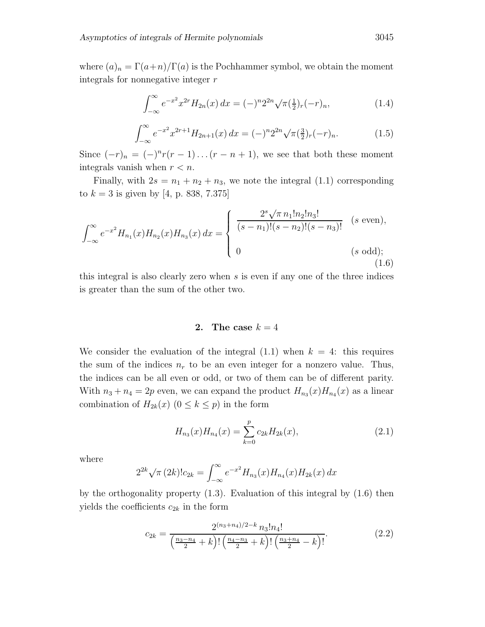where  $(a)_n = \Gamma(a+n)/\Gamma(a)$  is the Pochhammer symbol, we obtain the moment integrals for nonnegative integer  $r$ 

$$
\int_{-\infty}^{\infty} e^{-x^2} x^{2r} H_{2n}(x) dx = (-)^n 2^{2n} \sqrt{\pi} (\frac{1}{2})_r (-r)_n,
$$
\n(1.4)

$$
\int_{-\infty}^{\infty} e^{-x^2} x^{2r+1} H_{2n+1}(x) dx = (-)^n 2^{2n} \sqrt{\pi} \left(\frac{3}{2}\right)_r (-r)_n.
$$
 (1.5)

Since  $(-r)_n = (-)^n r(r-1) \dots (r-n+1)$ , we see that both these moment integrals vanish when  $r < n$ .

Finally, with  $2s = n_1 + n_2 + n_3$ , we note the integral (1.1) corresponding to  $k = 3$  is given by [4, p. 838, 7.375]

$$
\int_{-\infty}^{\infty} e^{-x^2} H_{n_1}(x) H_{n_2}(x) H_{n_3}(x) dx = \begin{cases} \frac{2^s \sqrt{\pi} n_1! n_2! n_3!}{(s - n_1)!(s - n_2)!(s - n_3)!} & (s \text{ even}),\\ 0 & (s \text{ odd}); \end{cases}
$$
 (1.6)

this integral is also clearly zero when  $s$  is even if any one of the three indices is greater than the sum of the other two.

## **2.** The case  $k = 4$

We consider the evaluation of the integral  $(1.1)$  when  $k = 4$ : this requires the sum of the indices  $n_r$  to be an even integer for a nonzero value. Thus, the indices can be all even or odd, or two of them can be of different parity. With  $n_3 + n_4 = 2p$  even, we can expand the product  $H_{n_3}(x)H_{n_4}(x)$  as a linear combination of  $H_{2k}(x)$   $(0 \leq k \leq p)$  in the form

$$
H_{n_3}(x)H_{n_4}(x) = \sum_{k=0}^{p} c_{2k}H_{2k}(x),
$$
\n(2.1)

where

$$
2^{2k}\sqrt{\pi} (2k)!c_{2k} = \int_{-\infty}^{\infty} e^{-x^2} H_{n_3}(x)H_{n_4}(x)H_{2k}(x) dx
$$

by the orthogonality property (1.3). Evaluation of this integral by (1.6) then yields the coefficients  $c_{2k}$  in the form

$$
c_{2k} = \frac{2^{(n_3+n_4)/2-k} n_3! n_4!}{\left(\frac{n_3-n_4}{2} + k\right)!\left(\frac{n_4-n_3}{2} + k\right)!\left(\frac{n_3+n_4}{2} - k\right)!}.
$$
(2.2)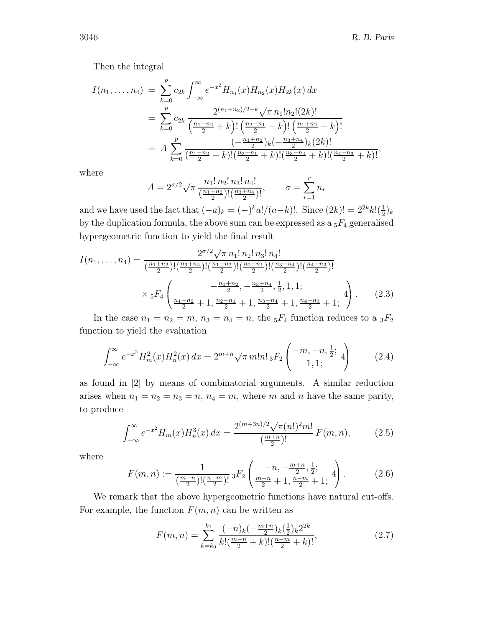Then the integral

$$
I(n_1, ..., n_4) = \sum_{k=0}^{p} c_{2k} \int_{-\infty}^{\infty} e^{-x^2} H_{n_1}(x) H_{n_2}(x) H_{2k}(x) dx
$$
  
= 
$$
\sum_{k=0}^{p} c_{2k} \frac{2^{(n_1+n_2)/2+k} \sqrt{\pi} n_1! n_2! (2k)!}{\left(\frac{n_1-n_2}{2} + k\right)! \left(\frac{n_2-n_1}{2} + k\right)! \left(\frac{n_1+n_2}{2} - k\right)!}
$$
  
= 
$$
A \sum_{k=0}^{p} \frac{\left(-\frac{n_1+n_2}{2}\right)_k \left(-\frac{n_3+n_4}{2}\right)_k (2k)!}{\left(\frac{n_1-n_2}{2} + k\right)! \left(\frac{n_2-n_1}{2} + k\right)! \left(\frac{n_3-n_4}{2} + k\right)! \left(\frac{n_4-n_3}{2} + k\right)!},
$$

where

$$
A = 2^{\sigma/2} \sqrt{\pi} \frac{n_1! n_2! n_3! n_4!}{\left(\frac{n_1+n_2}{2}\right)! \left(\frac{n_3+n_4}{2}\right)!}, \qquad \sigma = \sum_{r=1}^r n_r
$$

and we have used the fact that  $(-a)_k = (-)^k a!/(a-k)!$ . Since  $(2k)! = 2^{2k} k! \left(\frac{1}{2}\right)_k$ by the duplication formula, the above sum can be expressed as a  ${}_5F_4$  generalised hypergeometric function to yield the final result

$$
I(n_1, \ldots, n_4) = \frac{2^{\sigma/2} \sqrt{\pi} n_1! \, n_2! \, n_3! \, n_4!}{\left(\frac{n_1+n_2}{2}\right)! \left(\frac{n_3+n_4}{2}\right)! \left(\frac{n_1-n_2}{2}\right)! \left(\frac{n_2-n_1}{2}\right)! \left(\frac{n_3-n_4}{2}\right)! \left(\frac{n_4-n_3}{2}\right)!}
$$

$$
\times {}_5F_4\left(\frac{n_1-n_2}{n_2}+1, \frac{n_2-n_1}{2}+1, \frac{n_3-n_4}{2}+1, \frac{n_4-n_3}{2}+1; \frac{4}{2}\right). \tag{2.3}
$$

In the case  $n_1 = n_2 = m$ ,  $n_3 = n_4 = n$ , the  $_5F_4$  function reduces to a  $_3F_2$ function to yield the evaluation

$$
\int_{-\infty}^{\infty} e^{-x^2} H_m^2(x) H_n^2(x) dx = 2^{m+n} \sqrt{\pi} m! n! \, {}_3F_2 \left( \begin{matrix} -m, -n, \frac{1}{2}; \\ 1, 1; \end{matrix} \right) \tag{2.4}
$$

as found in [2] by means of combinatorial arguments. A similar reduction arises when  $n_1 = n_2 = n_3 = n$ ,  $n_4 = m$ , where m and n have the same parity, to produce

$$
\int_{-\infty}^{\infty} e^{-x^2} H_m(x) H_n^3(x) dx = \frac{2^{(m+3n)/2} \sqrt{\pi (n!)^2 m!}}{\left(\frac{m+n}{2}\right)!} F(m, n), \tag{2.5}
$$

where

$$
F(m,n) := \frac{1}{\left(\frac{m-n}{2}\right)!\left(\frac{n-m}{2}\right)!} \, {}_3F_2\left(\frac{-n, -\frac{m+n}{2}, \frac{1}{2};}{\frac{m-n}{2} + 1, \frac{n-m}{2} + 1;} 4\right). \tag{2.6}
$$

We remark that the above hypergeometric functions have natural cut-offs. For example, the function  $F(m, n)$  can be written as

$$
F(m,n) = \sum_{k=k_0}^{k_1} \frac{(-n)_k (-\frac{m+n}{2})_k (\frac{1}{2})_k 2^{2k}}{k! (\frac{m-n}{2} + k)! (\frac{n-m}{2} + k)!},
$$
\n(2.7)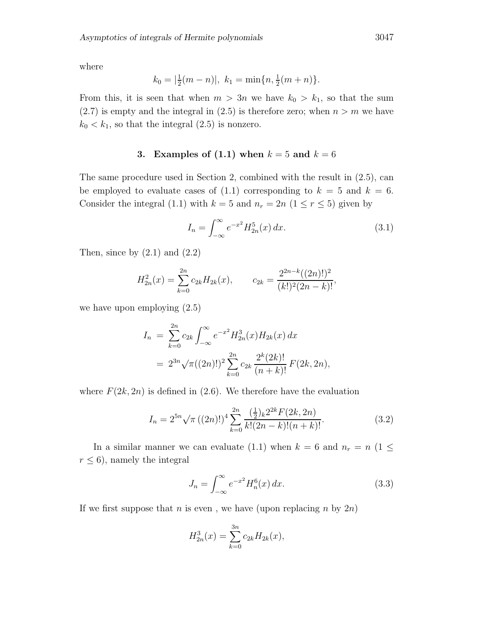where

$$
k_0 = |\frac{1}{2}(m-n)|, k_1 = \min\{n, \frac{1}{2}(m+n)\}.
$$

From this, it is seen that when  $m > 3n$  we have  $k_0 > k_1$ , so that the sum  $(2.7)$  is empty and the integral in  $(2.5)$  is therefore zero; when  $n>m$  we have  $k_0 < k_1$ , so that the integral  $(2.5)$  is nonzero.

# **3.** Examples of (1.1) when  $k = 5$  and  $k = 6$

The same procedure used in Section 2, combined with the result in (2.5), can be employed to evaluate cases of  $(1.1)$  corresponding to  $k = 5$  and  $k = 6$ . Consider the integral (1.1) with  $k = 5$  and  $n_r = 2n$  ( $1 \le r \le 5$ ) given by

$$
I_n = \int_{-\infty}^{\infty} e^{-x^2} H_{2n}^5(x) \, dx. \tag{3.1}
$$

Then, since by  $(2.1)$  and  $(2.2)$ 

$$
H_{2n}^{2}(x) = \sum_{k=0}^{2n} c_{2k} H_{2k}(x), \qquad c_{2k} = \frac{2^{2n-k}((2n)!)^{2}}{(k!)^{2}(2n-k)!},
$$

we have upon employing (2.5)

$$
I_n = \sum_{k=0}^{2n} c_{2k} \int_{-\infty}^{\infty} e^{-x^2} H_{2n}^3(x) H_{2k}(x) dx
$$
  
=  $2^{3n} \sqrt{\pi} ((2n)!)^2 \sum_{k=0}^{2n} c_{2k} \frac{2^k (2k)!}{(n+k)!} F(2k, 2n),$ 

where  $F(2k, 2n)$  is defined in (2.6). We therefore have the evaluation

$$
I_n = 2^{5n} \sqrt{\pi} \left( (2n)! \right)^4 \sum_{k=0}^{2n} \frac{\left( \frac{1}{2} \right)_k 2^{2k} F(2k, 2n)}{k! (2n-k)! (n+k)!}.
$$
 (3.2)

In a similar manner we can evaluate (1.1) when  $k = 6$  and  $n_r = n$  (1  $\leq$  $r \leq 6$ , namely the integral

$$
J_n = \int_{-\infty}^{\infty} e^{-x^2} H_n^6(x) \, dx. \tag{3.3}
$$

If we first suppose that  $n$  is even, we have (upon replacing  $n$  by  $2n$ )

$$
H_{2n}^{3}(x) = \sum_{k=0}^{3n} c_{2k} H_{2k}(x),
$$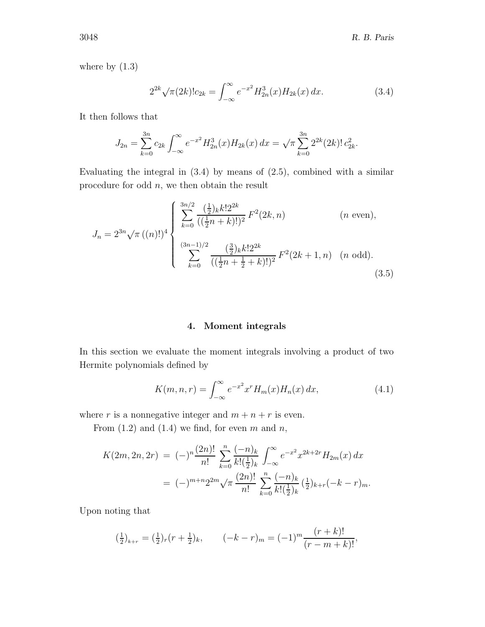where by  $(1.3)$ 

$$
2^{2k}\sqrt{\pi(2k)!}c_{2k} = \int_{-\infty}^{\infty} e^{-x^2} H_{2n}^3(x)H_{2k}(x) dx.
$$
 (3.4)

It then follows that

$$
J_{2n} = \sum_{k=0}^{3n} c_{2k} \int_{-\infty}^{\infty} e^{-x^2} H_{2n}^3(x) H_{2k}(x) dx = \sqrt{\pi} \sum_{k=0}^{3n} 2^{2k} (2k)! c_{2k}^2.
$$

Evaluating the integral in  $(3.4)$  by means of  $(2.5)$ , combined with a similar procedure for odd  $n$ , we then obtain the result

$$
J_n = 2^{3n} \sqrt{\pi} \left( (n)! \right)^4 \begin{cases} \sum_{k=0}^{3n/2} \frac{\left( \frac{1}{2} \right)_k k! 2^{2k}}{\left( \left( \frac{1}{2} n + k \right)! \right)^2} F^2(2k, n) & (n \text{ even}), \\ \sum_{k=0}^{(3n-1)/2} \frac{\left( \frac{3}{2} \right)_k k! 2^{2k}}{\left( \left( \frac{1}{2} n + \frac{1}{2} + k \right)! \right)^2} F^2(2k+1, n) & (n \text{ odd}). \end{cases}
$$
(3.5)

## **4. Moment integrals**

In this section we evaluate the moment integrals involving a product of two Hermite polynomials defined by

$$
K(m, n, r) = \int_{-\infty}^{\infty} e^{-x^2} x^r H_m(x) H_n(x) dx,
$$
\n(4.1)

where r is a nonnegative integer and  $m + n + r$  is even.

From  $(1.2)$  and  $(1.4)$  we find, for even m and n,

$$
K(2m, 2n, 2r) = (-)^n \frac{(2n)!}{n!} \sum_{k=0}^n \frac{(-n)_k}{k! \left(\frac{1}{2}\right)_k} \int_{-\infty}^{\infty} e^{-x^2} x^{2k+2r} H_{2m}(x) dx
$$
  
= (-)^{m+n} 2^{2m} \sqrt{\pi} \frac{(2n)!}{n!} \sum\_{k=0}^n \frac{(-n)\_k}{k! \left(\frac{1}{2}\right)\_k} \left(\frac{1}{2}\right)\_{k+r} (-k-r)\_m.

Upon noting that

$$
\left(\frac{1}{2}\right)_{k+r} = \left(\frac{1}{2}\right)_r \left(r + \frac{1}{2}\right)_k, \qquad \left(-k - r\right)_m = (-1)^m \frac{(r + k)!}{(r - m + k)!},
$$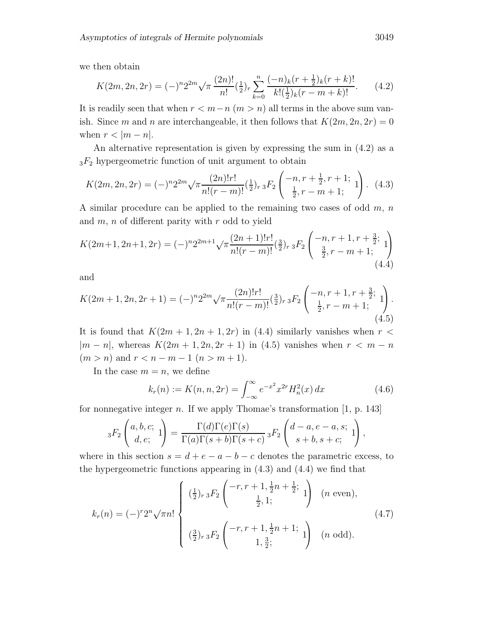we then obtain

$$
K(2m, 2n, 2r) = (-)^n 2^{2m} \sqrt{\pi} \frac{(2n)!}{n!} \left(\frac{1}{2}\right)_r \sum_{k=0}^n \frac{(-n)_k (r + \frac{1}{2})_k (r + k)!}{k! \left(\frac{1}{2}\right)_k (r - m + k)!}.
$$
 (4.2)

It is readily seen that when  $r < m-n$   $(m > n)$  all terms in the above sum vanish. Since m and n are interchangeable, it then follows that  $K(2m, 2n, 2r)=0$ when  $r < |m - n|$ .

An alternative representation is given by expressing the sum in (4.2) as a  $3F_2$  hypergeometric function of unit argument to obtain

$$
K(2m, 2n, 2r) = (-)^n 2^{2m} \sqrt{\pi \frac{(2n)!r!}{n!(r-m)!}} \left(\frac{1}{2}\right)_{r} {}_{3}F_2\left(\begin{array}{c} -n, r + \frac{1}{2}, r + 1; \\ \frac{1}{2}, r - m + 1; \end{array}1\right). \tag{4.3}
$$

A similar procedure can be applied to the remaining two cases of odd  $m, n$ and  $m$ ,  $n$  of different parity with  $r$  odd to yield

$$
K(2m+1, 2n+1, 2r) = (-)^n 2^{2m+1} \sqrt{\pi} \frac{(2n+1)!r!}{n!(r-m)!} (\frac{3}{2})_r {}_3F_2 \left( \begin{array}{c} -n, r+1, r+\frac{3}{2}; \\ \frac{3}{2}, r-m+1; \end{array} \right)
$$
\n
$$
(4.4)
$$

and

$$
K(2m+1, 2n, 2r+1) = (-)^n 2^{2m} \sqrt{\pi} \frac{(2n)!r!}{n!(r-m)!} (\frac{3}{2})_r {}_3F_2 \left( \begin{array}{c} -n, r+1, r+\frac{3}{2}; \\ \frac{1}{2}, r-m+1; \end{array} \right). \tag{4.5}
$$

It is found that  $K(2m+1, 2n+1, 2r)$  in (4.4) similarly vanishes when  $r <$  $|m - n|$ , whereas  $K(2m + 1, 2n, 2r + 1)$  in (4.5) vanishes when  $r < m - n$  $(m > n)$  and  $r < n - m - 1$   $(n > m + 1)$ .

In the case  $m = n$ , we define

$$
k_r(n) := K(n, n, 2r) = \int_{-\infty}^{\infty} e^{-x^2} x^{2r} H_n^2(x) dx \qquad (4.6)
$$

for nonnegative integer  $n$ . If we apply Thomae's transformation [1, p. 143]

$$
{}_3F_2\left(\begin{matrix}a,b,c;\\d,e; \end{matrix}\right) = \frac{\Gamma(d)\Gamma(e)\Gamma(s)}{\Gamma(a)\Gamma(s+b)\Gamma(s+c)} \, {}_3F_2\left(\begin{matrix}d-a,e-a,s;\\s+b,s+c; \end{matrix}\right),
$$

where in this section  $s = d + e - a - b - c$  denotes the parametric excess, to the hypergeometric functions appearing in (4.3) and (4.4) we find that

$$
k_r(n) = (-)^r 2^n \sqrt{\pi n!} \begin{cases} \left(\frac{1}{2}\right)_{r} {}_{3}F_2 \left( \begin{matrix} -r, r+1, \frac{1}{2}n+\frac{1}{2}; \\ \frac{1}{2}, 1; \end{matrix} \right) & (n \text{ even}), \\ \left(\frac{3}{2}\right)_{r} {}_{3}F_2 \left( \begin{matrix} -r, r+1, \frac{1}{2}n+1; \\ 1, \frac{3}{2}; \end{matrix} \right) & (n \text{ odd}). \end{cases} (4.7)
$$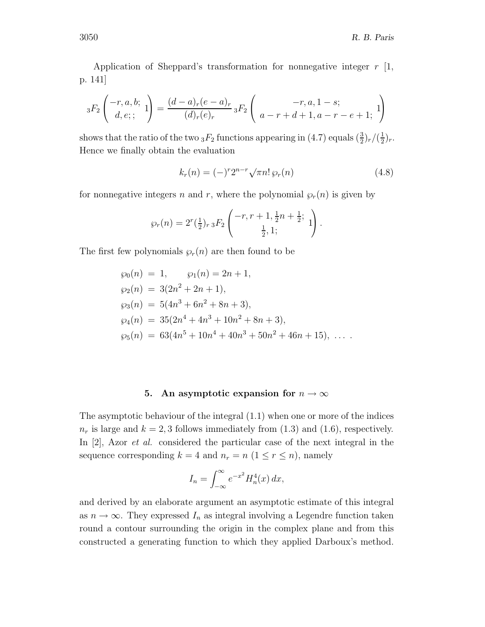Application of Sheppard's transformation for nonnegative integer  $r \; [1, 1]$ p. 141]

$$
{}_{3}F_{2}\left(\begin{array}{c} -r, a, b; \\ d, e; \end{array}1\right) = \frac{(d-a)_{r}(e-a)_{r}}{(d)_{r}(e)_{r}} {}_{3}F_{2}\left(\begin{array}{c} -r, a, 1-s; \\ a-r+d+1, a-r-e+1; \end{array}1\right)
$$

shows that the ratio of the two  ${}_{3}F_2$  functions appearing in (4.7) equals  $(\frac{3}{2})_r/(\frac{1}{2})_r$ . Hence we finally obtain the evaluation

$$
k_r(n) = (-)^r 2^{n-r} \sqrt{\pi n!} \wp_r(n)
$$
\n(4.8)

for nonnegative integers n and r, where the polynomial  $\varphi_r(n)$  is given by

$$
\wp_r(n) = 2^r(\frac{1}{2})_{r} {}_{3}F_2\left(\begin{array}{c} -r, r+1, \frac{1}{2}n+\frac{1}{2}; \\ \frac{1}{2}, 1; \end{array}1\right).
$$

The first few polynomials  $\varphi_r(n)$  are then found to be

$$
\wp_0(n) = 1, \qquad \wp_1(n) = 2n + 1,
$$
  
\n
$$
\wp_2(n) = 3(2n^2 + 2n + 1),
$$
  
\n
$$
\wp_3(n) = 5(4n^3 + 6n^2 + 8n + 3),
$$
  
\n
$$
\wp_4(n) = 35(2n^4 + 4n^3 + 10n^2 + 8n + 3),
$$
  
\n
$$
\wp_5(n) = 63(4n^5 + 10n^4 + 40n^3 + 50n^2 + 46n + 15), \dots
$$

#### **5.** An asymptotic expansion for  $n \to \infty$

The asymptotic behaviour of the integral (1.1) when one or more of the indices  $n_r$  is large and  $k = 2, 3$  follows immediately from (1.3) and (1.6), respectively. In [2], Azor *et al.* considered the particular case of the next integral in the sequence corresponding  $k = 4$  and  $n_r = n$  ( $1 \le r \le n$ ), namely

$$
I_n = \int_{-\infty}^{\infty} e^{-x^2} H_n^4(x) \, dx,
$$

and derived by an elaborate argument an asymptotic estimate of this integral as  $n \to \infty$ . They expressed  $I_n$  as integral involving a Legendre function taken round a contour surrounding the origin in the complex plane and from this constructed a generating function to which they applied Darboux's method.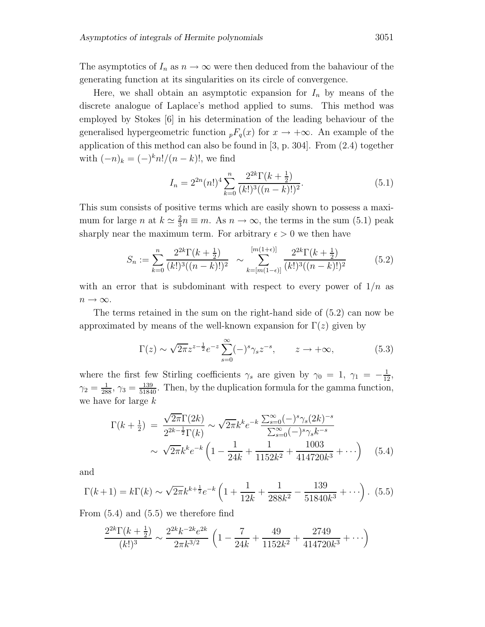The asymptotics of  $I_n$  as  $n \to \infty$  were then deduced from the bahaviour of the generating function at its singularities on its circle of convergence.

Here, we shall obtain an asymptotic expansion for  $I_n$  by means of the discrete analogue of Laplace's method applied to sums. This method was employed by Stokes [6] in his determination of the leading behaviour of the generalised hypergeometric function  ${}_{p}F_{q}(x)$  for  $x \to +\infty$ . An example of the application of this method can also be found in [3, p. 304]. From (2.4) together with  $(-n)_k = (-)^k n!/(n-k)!$ , we find

$$
I_n = 2^{2n} (n!)^4 \sum_{k=0}^n \frac{2^{2k} \Gamma(k + \frac{1}{2})}{(k!)^3 ((n-k)!)^2}.
$$
 (5.1)

This sum consists of positive terms which are easily shown to possess a maximum for large *n* at  $k \approx \frac{2}{3}n \equiv m$ . As  $n \to \infty$ , the terms in the sum (5.1) peak sharply near the maximum term. For arbitrary  $\epsilon > 0$  we then have

$$
S_n := \sum_{k=0}^n \frac{2^{2k} \Gamma(k + \frac{1}{2})}{(k!)^3 ((n-k)!)^2} \sim \sum_{k=[m(1-\epsilon)]}^{[m(1+\epsilon)]} \frac{2^{2k} \Gamma(k + \frac{1}{2})}{(k!)^3 ((n-k)!)^2}
$$
(5.2)

with an error that is subdominant with respect to every power of  $1/n$  as  $n\rightarrow\infty.$ 

The terms retained in the sum on the right-hand side of (5.2) can now be approximated by means of the well-known expansion for  $\Gamma(z)$  given by

$$
\Gamma(z) \sim \sqrt{2\pi} z^{z-\frac{1}{2}} e^{-z} \sum_{s=0}^{\infty} (-)^s \gamma_s z^{-s}, \qquad z \to +\infty,
$$
 (5.3)

where the first few Stirling coefficients  $\gamma_s$  are given by  $\gamma_0 = 1, \gamma_1 = -\frac{1}{12}$ ,  $\gamma_2 = \frac{1}{288}$ ,  $\gamma_3 = \frac{139}{51840}$ . Then, by the duplication formula for the gamma function, we have for large k

$$
\Gamma(k+\frac{1}{2}) = \frac{\sqrt{2\pi}\Gamma(2k)}{2^{2k-\frac{1}{2}}\Gamma(k)} \sim \sqrt{2\pi}k^k e^{-k} \frac{\sum_{s=0}^{\infty}(-)^s \gamma_s (2k)^{-s}}{\sum_{s=0}^{\infty}(-)^s \gamma_s k^{-s}} \sim \sqrt{2\pi}k^k e^{-k} \left(1 - \frac{1}{24k} + \frac{1}{1152k^2} + \frac{1003}{414720k^3} + \cdots \right) \quad (5.4)
$$

and

$$
\Gamma(k+1) = k\Gamma(k) \sim \sqrt{2\pi}k^{k+\frac{1}{2}}e^{-k}\left(1 + \frac{1}{12k} + \frac{1}{288k^2} - \frac{139}{51840k^3} + \cdots\right). \tag{5.5}
$$

From (5.4) and (5.5) we therefore find

$$
\frac{2^{2k}\Gamma(k+\frac{1}{2})}{(k!)^3} \sim \frac{2^{2k}k^{-2k}e^{2k}}{2\pi k^{3/2}} \left(1 - \frac{7}{24k} + \frac{49}{1152k^2} + \frac{2749}{414720k^3} + \cdots\right)
$$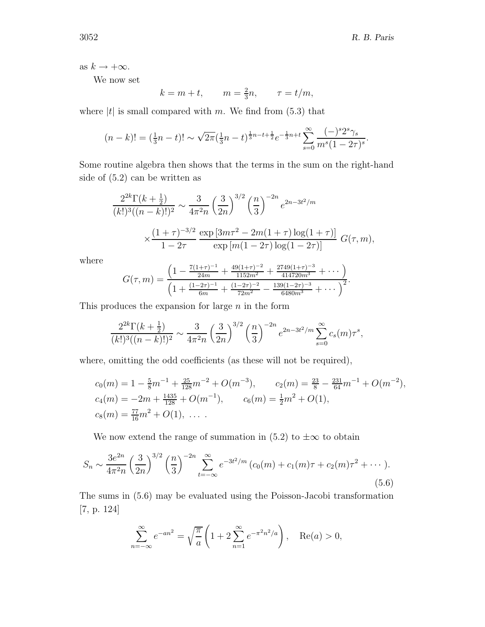as  $k \to +\infty$ .

We now set

$$
k = m + t, \qquad m = \frac{2}{3}n, \qquad \tau = t/m,
$$

where  $|t|$  is small compared with m. We find from (5.3) that

$$
(n-k)! = \left(\frac{1}{3}n-t\right)! \sim \sqrt{2\pi} \left(\frac{1}{3}n-t\right)^{\frac{1}{3}n-t+\frac{1}{2}} e^{-\frac{1}{3}n+t} \sum_{s=0}^{\infty} \frac{(-)^s 2^s \gamma_s}{m^s (1-2\tau)^s}.
$$

Some routine algebra then shows that the terms in the sum on the right-hand side of (5.2) can be written as

$$
\frac{2^{2k}\Gamma(k+\frac{1}{2})}{(k!)^3((n-k)!)^2} \sim \frac{3}{4\pi^2 n} \left(\frac{3}{2n}\right)^{3/2} \left(\frac{n}{3}\right)^{-2n} e^{2n-3t^2/m}
$$

$$
\times \frac{(1+\tau)^{-3/2}}{1-2\tau} \frac{\exp\left[3m\tau^2 - 2m(1+\tau)\log(1+\tau)\right]}{\exp\left[m(1-2\tau)\log(1-2\tau)\right]} G(\tau, m),
$$

where

$$
G(\tau,m) = \frac{\left(1 - \frac{7(1+\tau)^{-1}}{24m} + \frac{49(1+\tau)^{-2}}{1152m^2} + \frac{2749(1+\tau)^{-3}}{414720m^3} + \cdots\right)}{\left(1 + \frac{(1-2\tau)^{-1}}{6m} + \frac{(1-2\tau)^{-2}}{72m^2} - \frac{139(1-2\tau)^{-3}}{6480m^3} + \cdots\right)^2}.
$$

This produces the expansion for large  $n$  in the form

$$
\frac{2^{2k}\Gamma(k+\frac{1}{2})}{(k!)^3((n-k)!)^2} \sim \frac{3}{4\pi^2 n} \left(\frac{3}{2n}\right)^{3/2} \left(\frac{n}{3}\right)^{-2n} e^{2n-3t^2/m} \sum_{s=0}^{\infty} c_s(m)\tau^s,
$$

where, omitting the odd coefficients (as these will not be required),

$$
c_0(m) = 1 - \frac{5}{8}m^{-1} + \frac{25}{128}m^{-2} + O(m^{-3}), \qquad c_2(m) = \frac{23}{8} - \frac{231}{64}m^{-1} + O(m^{-2}),
$$
  
\n
$$
c_4(m) = -2m + \frac{1435}{128} + O(m^{-1}), \qquad c_6(m) = \frac{1}{2}m^2 + O(1),
$$
  
\n
$$
c_8(m) = \frac{77}{16}m^2 + O(1), \ \ldots \ .
$$

We now extend the range of summation in (5.2) to  $\pm\infty$  to obtain

$$
S_n \sim \frac{3e^{2n}}{4\pi^2 n} \left(\frac{3}{2n}\right)^{3/2} \left(\frac{n}{3}\right)^{-2n} \sum_{t=-\infty}^{\infty} e^{-3t^2/m} \left(c_0(m) + c_1(m)\tau + c_2(m)\tau^2 + \cdots\right).
$$
\n(5.6)

The sums in (5.6) may be evaluated using the Poisson-Jacobi transformation [7, p. 124]

$$
\sum_{n=-\infty}^{\infty} e^{-an^2} = \sqrt{\frac{\pi}{a}} \left( 1 + 2 \sum_{n=1}^{\infty} e^{-\pi^2 n^2/a} \right), \quad \text{Re}(a) > 0,
$$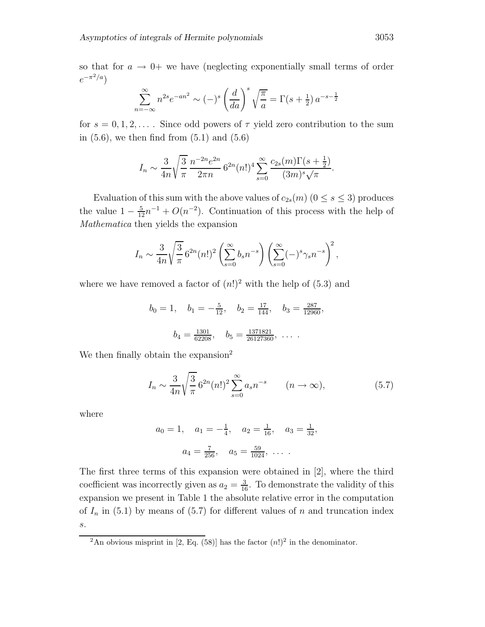so that for  $a \rightarrow 0^+$  we have (neglecting exponentially small terms of order  $e^{-\pi^2/a}$ 

$$
\sum_{n=-\infty}^{\infty} n^{2s} e^{-an^2} \sim (-)^s \left(\frac{d}{da}\right)^s \sqrt{\frac{\pi}{a}} = \Gamma(s + \frac{1}{2}) a^{-s - \frac{1}{2}}
$$

for  $s = 0, 1, 2, \ldots$ . Since odd powers of  $\tau$  yield zero contribution to the sum in  $(5.6)$ , we then find from  $(5.1)$  and  $(5.6)$ 

$$
I_n \sim \frac{3}{4n} \sqrt{\frac{3}{\pi}} \frac{n^{-2n} e^{2n}}{2\pi n} 6^{2n} (n!)^4 \sum_{s=0}^{\infty} \frac{c_{2s}(m) \Gamma(s+\frac{1}{2})}{(3m)^s \sqrt{\pi}}.
$$

Evaluation of this sum with the above values of  $c_{2s}(m)$  ( $0 \leq s \leq 3$ ) produces the value  $1 - \frac{5}{12}n^{-1} + O(n^{-2})$ . Continuation of this process with the help of *Mathematica* then yields the expansion

$$
I_n \sim \frac{3}{4n} \sqrt{\frac{3}{\pi}} 6^{2n} (n!)^2 \left( \sum_{s=0}^{\infty} b_s n^{-s} \right) \left( \sum_{s=0}^{\infty} (-)^s \gamma_s n^{-s} \right)^2
$$

where we have removed a factor of  $(n!)^2$  with the help of (5.3) and

$$
b_0 = 1
$$
,  $b_1 = -\frac{5}{12}$ ,  $b_2 = \frac{17}{144}$ ,  $b_3 = \frac{287}{12960}$ ,  
 $b_4 = \frac{1301}{62208}$ ,  $b_5 = \frac{1371821}{26127360}$ , ...

We then finally obtain the expansion<sup>2</sup>

$$
I_n \sim \frac{3}{4n} \sqrt{\frac{3}{\pi}} 6^{2n} (n!)^2 \sum_{s=0}^{\infty} a_s n^{-s} \qquad (n \to \infty),
$$
 (5.7)

where

$$
a_0 = 1
$$
,  $a_1 = -\frac{1}{4}$ ,  $a_2 = \frac{1}{16}$ ,  $a_3 = \frac{1}{32}$ ,  
 $a_4 = \frac{7}{256}$ ,  $a_5 = \frac{59}{1024}$ , ...

The first three terms of this expansion were obtained in [2], where the third coefficient was incorrectly given as  $a_2 = \frac{3}{16}$ . To demonstrate the validity of this expansion we present in Table 1 the absolute relative error in the computation of  $I_n$  in (5.1) by means of (5.7) for different values of n and truncation index s.

<sup>&</sup>lt;sup>2</sup>An obvious misprint in [2, Eq. (58)] has the factor  $(n!)^2$  in the denominator.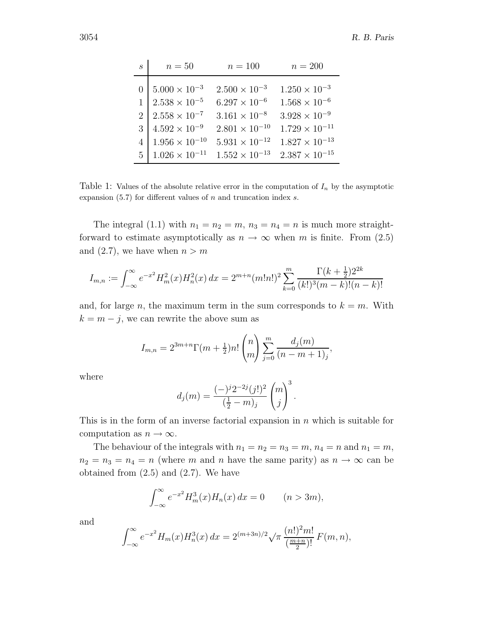| $\mathcal{S}_{\mathcal{S}}$ | $n=50$                 | $n = 100$               | $n = 200$               |
|-----------------------------|------------------------|-------------------------|-------------------------|
| $\theta$                    | $5.000 \times 10^{-3}$ | $2.500 \times 10^{-3}$  | $1.250 \times 10^{-3}$  |
|                             | $2.538\times10^{-5}$   | $6.297 \times 10^{-6}$  | $1.568 \times 10^{-6}$  |
| 2 <sup>1</sup>              | $2.558\times10^{-7}$   | $3.161 \times 10^{-8}$  | $3.928 \times 10^{-9}$  |
| 3 <sup>1</sup>              | $4.592 \times 10^{-9}$ | $2.801 \times 10^{-10}$ | $1.729 \times 10^{-11}$ |
| 4                           | $1.956\times10^{-10}$  | $5.931 \times 10^{-12}$ | $1.827 \times 10^{-13}$ |
| 5                           | $1.026\times10^{-11}$  | $1.552 \times 10^{-13}$ | $2.387\times10^{-15}$   |

Table 1: Values of the absolute relative error in the computation of  $I_n$  by the asymptotic expansion (5.7) for different values of *n* and truncation index *s*.

The integral (1.1) with  $n_1 = n_2 = m$ ,  $n_3 = n_4 = n$  is much more straightforward to estimate asymptotically as  $n \to \infty$  when m is finite. From (2.5) and (2.7), we have when  $n>m$ 

$$
I_{m,n} := \int_{-\infty}^{\infty} e^{-x^2} H_m^2(x) H_n^2(x) dx = 2^{m+n} (m!n!)^2 \sum_{k=0}^m \frac{\Gamma(k+\frac{1}{2}) 2^{2k}}{(k!)^3 (m-k)!(n-k)!}
$$

and, for large n, the maximum term in the sum corresponds to  $k = m$ . With  $k = m - j$ , we can rewrite the above sum as

$$
I_{m,n} = 2^{3m+n} \Gamma(m + \frac{1}{2}) n! \binom{n}{m} \sum_{j=0}^{m} \frac{d_j(m)}{(n-m+1)_j},
$$

where

$$
d_j(m) = \frac{(-)^j 2^{-2j} (j!)^2}{(\frac{1}{2} - m)_j} {m \choose j}^3.
$$

This is in the form of an inverse factorial expansion in  $n$  which is suitable for computation as  $n \to \infty$ .

The behaviour of the integrals with  $n_1 = n_2 = n_3 = m$ ,  $n_4 = n$  and  $n_1 = m$ ,  $n_2 = n_3 = n_4 = n$  (where m and n have the same parity) as  $n \to \infty$  can be obtained from  $(2.5)$  and  $(2.7)$ . We have

$$
\int_{-\infty}^{\infty} e^{-x^2} H_m^3(x) H_n(x) \, dx = 0 \qquad (n > 3m),
$$

and

$$
\int_{-\infty}^{\infty} e^{-x^2} H_m(x) H_n^3(x) dx = 2^{(m+3n)/2} \sqrt{\pi} \frac{(n!)^2 m!}{\left(\frac{m+n}{2}\right)!} F(m,n),
$$

 $\overline{a}$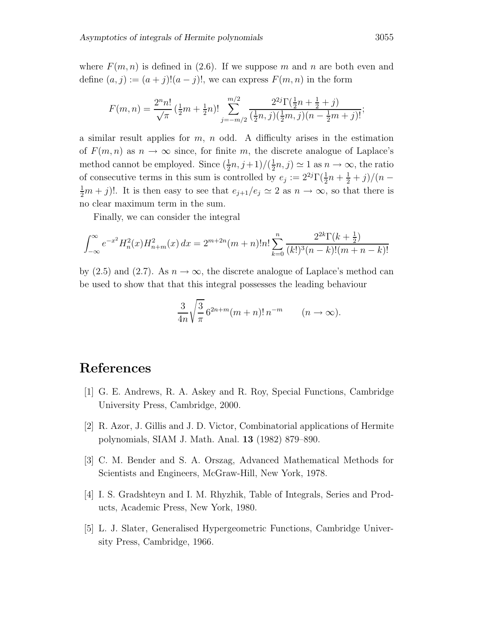where  $F(m, n)$  is defined in (2.6). If we suppose m and n are both even and define  $(a, j) := (a + j)!(a - j)!$ , we can express  $F(m, n)$  in the form

$$
F(m,n) = \frac{2^n n!}{\sqrt{\pi}} \left(\frac{1}{2}m + \frac{1}{2}n\right) \cdot \sum_{j=-m/2}^{m/2} \frac{2^{2j} \Gamma(\frac{1}{2}n + \frac{1}{2} + j)}{(\frac{1}{2}n, j)(\frac{1}{2}m, j)(n - \frac{1}{2}m + j)!};
$$

a similar result applies for  $m$ ,  $n$  odd. A difficulty arises in the estimation of  $F(m, n)$  as  $n \to \infty$  since, for finite m, the discrete analogue of Laplace's method cannot be employed. Since  $(\frac{1}{2}n, j+1)/(\frac{1}{2}n, j) \simeq 1$  as  $n \to \infty$ , the ratio of consecutive terms in this sum is controlled by  $e_j := 2^{2j} \Gamma(\frac{1}{2}n + \frac{1}{2} + j)/(n - \frac{1}{2}m + j)!$  It is then easy to see that  $e_{i,j}/e_j \approx 2$  as  $n \to \infty$  so that there is  $\frac{1}{2}m + j$ !. It is then easy to see that  $e_{j+1}/e_j \simeq 2$  as  $n \to \infty$ , so that there is no clear maximum term in the sum.

Finally, we can consider the integral

$$
\int_{-\infty}^{\infty} e^{-x^2} H_n^2(x) H_{n+m}^2(x) dx = 2^{m+2n} (m+n)! n! \sum_{k=0}^n \frac{2^{2k} \Gamma(k+\frac{1}{2})}{(k!)^3 (n-k)! (m+n-k)!}
$$

by (2.5) and (2.7). As  $n \to \infty$ , the discrete analogue of Laplace's method can be used to show that that this integral possesses the leading behaviour

$$
\frac{3}{4n}\sqrt{\frac{3}{\pi}}\,6^{2n+m}(m+n)!\,n^{-m}\qquad(n\to\infty).
$$

# **References**

- [1] G. E. Andrews, R. A. Askey and R. Roy, Special Functions, Cambridge University Press, Cambridge, 2000.
- [2] R. Azor, J. Gillis and J. D. Victor, Combinatorial applications of Hermite polynomials, SIAM J. Math. Anal. **13** (1982) 879–890.
- [3] C. M. Bender and S. A. Orszag, Advanced Mathematical Methods for Scientists and Engineers, McGraw-Hill, New York, 1978.
- [4] I. S. Gradshteyn and I. M. Rhyzhik, Table of Integrals, Series and Products, Academic Press, New York, 1980.
- [5] L. J. Slater, Generalised Hypergeometric Functions, Cambridge University Press, Cambridge, 1966.